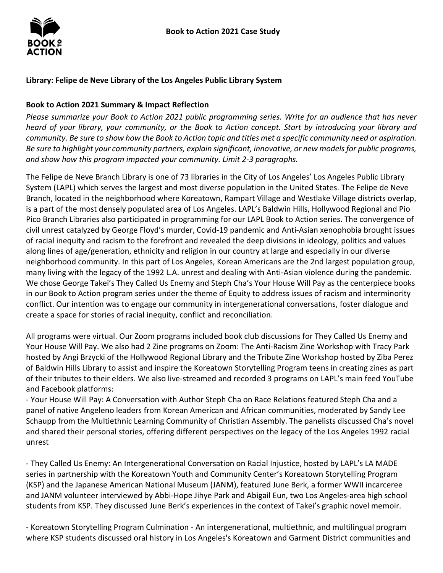

## **Library: Felipe de Neve Library of the Los Angeles Public Library System**

#### **Book to Action 2021 Summary & Impact Reflection**

*Please summarize your Book to Action 2021 public programming series. Write for an audience that has never heard of your library, your community, or the Book to Action concept. Start by introducing your library and community. Be sure to show how the Book to Action topic and titles met a specific community need or aspiration. Be sure to highlight your community partners, explain significant, innovative, or new models for public programs, and show how this program impacted your community. Limit 2-3 paragraphs.* 

 System (LAPL) which serves the largest and most diverse population in the United States. The Felipe de Neve Branch, located in the neighborhood where Koreatown, Rampart Village and Westlake Village districts overlap, is a part of the most densely populated area of Los Angeles. LAPL's Baldwin Hills, Hollywood Regional and Pio of racial inequity and racism to the forefront and revealed the deep divisions in ideology, politics and values neighborhood community. In this part of Los Angeles, Korean Americans are the 2nd largest population group, We chose George Takei's They Called Us Enemy and Steph Cha's Your House Will Pay as the centerpiece books in our Book to Action program series under the theme of Equity to address issues of racism and interminority conflict. Our intention was to engage our community in intergenerational conversations, foster dialogue and The Felipe de Neve Branch Library is one of 73 libraries in the City of Los Angeles' Los Angeles Public Library Pico Branch Libraries also participated in programming for our LAPL Book to Action series. The convergence of civil unrest catalyzed by George Floyd's murder, Covid-19 pandemic and Anti-Asian xenophobia brought issues along lines of age/generation, ethnicity and religion in our country at large and especially in our diverse many living with the legacy of the 1992 L.A. unrest and dealing with Anti-Asian violence during the pandemic. create a space for stories of racial inequity, conflict and reconciliation.

 All programs were virtual. Our Zoom programs included book club discussions for They Called Us Enemy and Your House Will Pay. We also had 2 Zine programs on Zoom: The Anti-Racism Zine Workshop with Tracy Park of Baldwin Hills Library to assist and inspire the Koreatown Storytelling Program teens in creating zines as part of their tributes to their elders. We also live-streamed and recorded 3 programs on LAPL's main feed YouTube hosted by Angi Brzycki of the Hollywood Regional Library and the Tribute Zine Workshop hosted by Ziba Perez and Facebook platforms:

 Schaupp from the Multiethnic Learning Community of Christian Assembly. The panelists discussed Cha's novel and shared their personal stories, offering different perspectives on the legacy of the Los Angeles 1992 racial - Your House Will Pay: A Conversation with Author Steph Cha on Race Relations featured Steph Cha and a panel of native Angeleno leaders from Korean American and African communities, moderated by Sandy Lee unrest

 (KSP) and the Japanese American National Museum (JANM), featured June Berk, a former WWII incarceree students from KSP. They discussed June Berk's experiences in the context of Takei's graphic novel memoir. - They Called Us Enemy: An Intergenerational Conversation on Racial Injustice, hosted by LAPL's LA MADE series in partnership with the Koreatown Youth and Community Center's Koreatown Storytelling Program and JANM volunteer interviewed by Abbi-Hope Jihye Park and Abigail Eun, two Los Angeles-area high school

- Koreatown Storytelling Program Culmination - An intergenerational, multiethnic, and multilingual program where KSP students discussed oral history in Los Angeles's Koreatown and Garment District communities and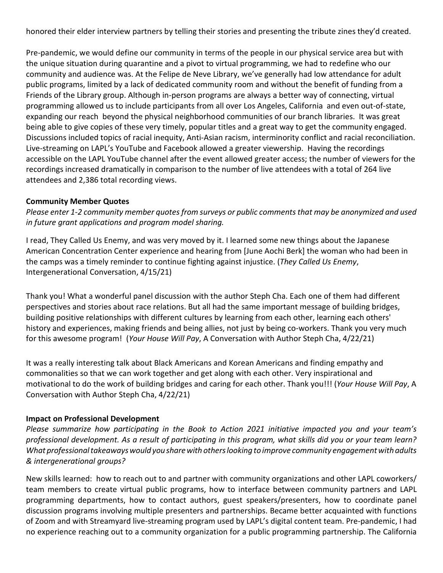honored their elder interview partners by telling their stories and presenting the tribute zines they'd created.

 Pre-pandemic, we would define our community in terms of the people in our physical service area but with community and audience was. At the Felipe de Neve Library, we've generally had low attendance for adult programming allowed us to include participants from all over Los Angeles, California and even out-of-state, expanding our reach beyond the physical neighborhood communities of our branch libraries. It was great being able to give copies of these very timely, popular titles and a great way to get the community engaged. Live-streaming on LAPL's YouTube and Facebook allowed a greater viewership. Having the recordings accessible on the LAPL YouTube channel after the event allowed greater access; the number of viewers for the recordings increased dramatically in comparison to the number of live attendees with a total of 264 live the unique situation during quarantine and a pivot to virtual programming, we had to redefine who our public programs, limited by a lack of dedicated community room and without the benefit of funding from a Friends of the Library group. Although in-person programs are always a better way of connecting, virtual Discussions included topics of racial inequity, Anti-Asian racism, interminority conflict and racial reconciliation. attendees and 2,386 total recording views.

### **Community Member Quotes**

*Please enter 1-2 community member quotes from surveys or public comments that may be anonymized and used in future grant applications and program model sharing.* 

 I read, They Called Us Enemy, and was very moved by it. I learned some new things about the Japanese American Concentration Center experience and hearing from [June Aochi Berk] the woman who had been in the camps was a timely reminder to continue fighting against injustice. (*They Called Us Enemy*, Intergenerational Conversation, 4/15/21)

 Thank you! What a wonderful panel discussion with the author Steph Cha. Each one of them had different perspectives and stories about race relations. But all had the same important message of building bridges, history and experiences, making friends and being allies, not just by being co-workers. Thank you very much building positive relationships with different cultures by learning from each other, learning each others' for this awesome program! (*Your House Will Pay*, A Conversation with Author Steph Cha, 4/22/21)

 commonalities so that we can work together and get along with each other. Very inspirational and motivational to do the work of building bridges and caring for each other. Thank you!!! (*Your House Will Pay*, A It was a really interesting talk about Black Americans and Korean Americans and finding empathy and Conversation with Author Steph Cha, 4/22/21)

#### **Impact on Professional Development**

 *What professional takeaways would you share with others looking to improve community engagement with adults & intergenerational groups? Please summarize how participating in the Book to Action 2021 initiative impacted you and your team's professional development. As a result of participating in this program, what skills did you or your team learn?* 

 programming departments, how to contact authors, guest speakers/presenters, how to coordinate panel discussion programs involving multiple presenters and partnerships. Became better acquainted with functions of Zoom and with Streamyard live-streaming program used by LAPL's digital content team. Pre-pandemic, I had no experience reaching out to a community organization for a public programming partnership. The California New skills learned: how to reach out to and partner with community organizations and other LAPL coworkers/ team members to create virtual public programs, how to interface between community partners and LAPL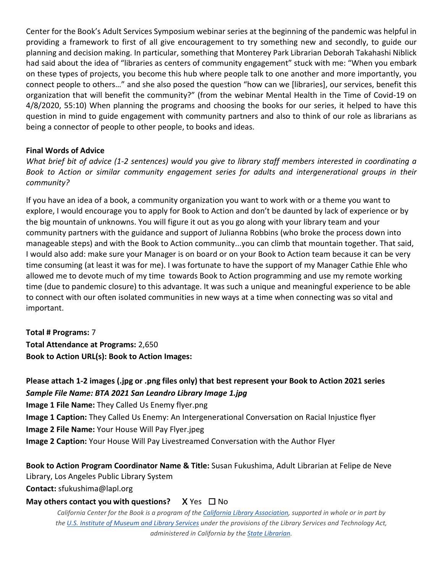Center for the Book's Adult Services Symposium webinar series at the beginning of the pandemic was helpful in connect people to others…" and she also posed the question "how can we [libraries], our services, benefit this 4/8/2020, 55:10) When planning the programs and choosing the books for our series, it helped to have this question in mind to guide engagement with community partners and also to think of our role as librarians as being a connector of people to other people, to books and ideas. providing a framework to first of all give encouragement to try something new and secondly, to guide our planning and decision making. In particular, something that Monterey Park Librarian Deborah Takahashi Niblick had said about the idea of "libraries as centers of community engagement" stuck with me: "When you embark on these types of projects, you become this hub where people talk to one another and more importantly, you organization that will benefit the community?" (from the webinar Mental Health in the Time of Covid-19 on

#### **Final Words of Advice**

*What brief bit of advice (1-2 sentences) would you give to library staff members interested in coordinating a Book to Action or similar community engagement series for adults and intergenerational groups in their community?* 

 If you have an idea of a book, a community organization you want to work with or a theme you want to the big mountain of unknowns. You will figure it out as you go along with your library team and your community partners with the guidance and support of Julianna Robbins (who broke the process down into I would also add: make sure your Manager is on board or on your Book to Action team because it can be very time consuming (at least it was for me). I was fortunate to have the support of my Manager Cathie Ehle who allowed me to devote much of my time towards Book to Action programming and use my remote working time (due to pandemic closure) to this advantage. It was such a unique and meaningful experience to be able explore, I would encourage you to apply for Book to Action and don't be daunted by lack of experience or by manageable steps) and with the Book to Action community...you can climb that mountain together. That said, to connect with our often isolated communities in new ways at a time when connecting was so vital and important.

 **Total # Programs:** 7 Book to Action URL(s): Book to Action Images: **Total Attendance at Programs:** 2,650

# Book to Action URL(s): Book to Action Images:<br>Please attach 1-2 images (.jpg or .png files only) that best represent your Book to Action 2021 series  *Sample File Name: BTA 2021 San Leandro Library Image 1.jpg*

**Image 1 File Name:** They Called Us Enemy flyer.png

**Image 1 Caption:** They Called Us Enemy: An Intergenerational Conversation on Racial Injustice flyer

**Image 2 File Name:** Your House Will Pay Flyer.jpeg

**Image 2 Caption:** Your House Will Pay Livestreamed Conversation with the Author Flyer

 **Book to Action Program Coordinator Name & Title:** Susan Fukushima, Adult Librarian at Felipe de Neve Library, Los Angeles Public Library System

**Contact:** sfukushima@lapl.org

# **May others contact you with questions?** X Yes □ No

 *California Center for the Book is a program of the [California Library Association,](http://www.cla-net.org/) supported in whole or in part by th[e U.S. Institute of Museum and Library Services u](http://www.imls.gov/)nder the provisions of the Library Services and Technology Act, administered in California by the [State Librarian.](http://www.library.ca.gov/)*